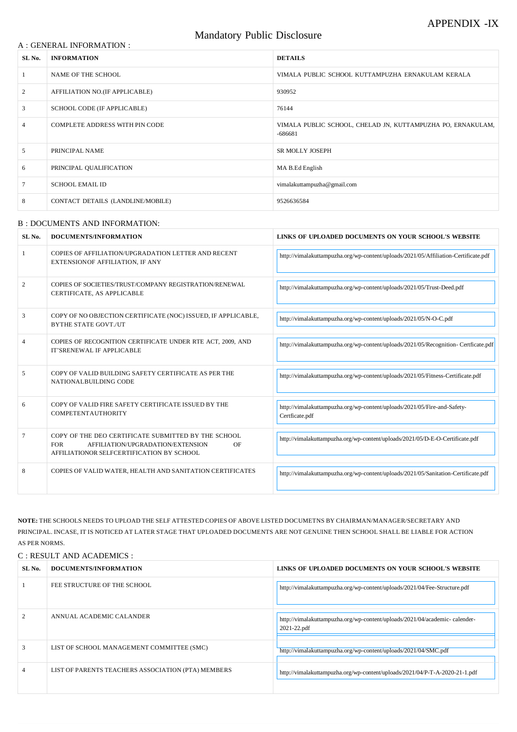#### A : GENERAL INFORMATION :

# Mandatory Public Disclosure

| SL No. | <b>INFORMATION</b>                | <b>DETAILS</b>                                                           |
|--------|-----------------------------------|--------------------------------------------------------------------------|
|        | NAME OF THE SCHOOL                | VIMALA PUBLIC SCHOOL KUTTAMPUZHA ERNAKULAM KERALA                        |
| 2      | AFFILIATION NO.(IF APPLICABLE)    | 930952                                                                   |
| 3      | SCHOOL CODE (IF APPLICABLE)       | 76144                                                                    |
| 4      | COMPLETE ADDRESS WITH PIN CODE    | VIMALA PUBLIC SCHOOL, CHELAD JN, KUTTAMPUZHA PO, ERNAKULAM,<br>$-686681$ |
| 5      | PRINCIPAL NAME                    | <b>SR MOLLY JOSEPH</b>                                                   |
| 6      | PRINCIPAL QUALIFICATION           | MA B.Ed English                                                          |
|        | <b>SCHOOL EMAIL ID</b>            | vimalakuttampuzha@gmail.com                                              |
| 8      | CONTACT DETAILS (LANDLINE/MOBILE) | 9526636584                                                               |

#### B : DOCUMENTS AND INFORMATION:

| SL <sub>No.</sub> | DOCUMENTS/INFORMATION                                                                                                                                     | LINKS OF UPLOADED DOCUMENTS ON YOUR SCHOOL'S WEBSITE                                       |
|-------------------|-----------------------------------------------------------------------------------------------------------------------------------------------------------|--------------------------------------------------------------------------------------------|
|                   | COPIES OF AFFILIATION/UPGRADATION LETTER AND RECENT<br>EXTENSIONOF AFFILIATION, IF ANY                                                                    | http://vimalakuttampuzha.org/wp-content/uploads/2021/05/Affiliation-Certificate.pdf        |
| 2                 | COPIES OF SOCIETIES/TRUST/COMPANY REGISTRATION/RENEWAL<br>CERTIFICATE, AS APPLICABLE                                                                      | http://vimalakuttampuzha.org/wp-content/uploads/2021/05/Trust-Deed.pdf                     |
| 3                 | COPY OF NO OBJECTION CERTIFICATE (NOC) ISSUED, IF APPLICABLE,<br><b>BYTHE STATE GOVT./UT</b>                                                              | http://vimalakuttampuzha.org/wp-content/uploads/2021/05/N-O-C.pdf                          |
| 4                 | COPIES OF RECOGNITION CERTIFICATE UNDER RTE ACT, 2009, AND<br>IT'SRENEWAL IF APPLICABLE                                                                   | http://vimalakuttampuzha.org/wp-content/uploads/2021/05/Recognition- Certficate.pdf        |
| 5                 | COPY OF VALID BUILDING SAFETY CERTIFICATE AS PER THE<br>NATIONALBUILDING CODE                                                                             | http://vimalakuttampuzha.org/wp-content/uploads/2021/05/Fitness-Certificate.pdf            |
| 6                 | COPY OF VALID FIRE SAFETY CERTIFICATE ISSUED BY THE<br><b>COMPETENTAUTHORITY</b>                                                                          | http://vimalakuttampuzha.org/wp-content/uploads/2021/05/Fire-and-Safety-<br>Certficate.pdf |
| 7                 | COPY OF THE DEO CERTIFICATE SUBMITTED BY THE SCHOOL<br><b>FOR</b><br>AFFILIATION/UPGRADATION/EXTENSION<br>OF<br>AFFILIATIONOR SELFCERTIFICATION BY SCHOOL | http://vimalakuttampuzha.org/wp-content/uploads/2021/05/D-E-O-Certificate.pdf              |
| 8                 | COPIES OF VALID WATER, HEALTH AND SANITATION CERTIFICATES                                                                                                 | http://vimalakuttampuzha.org/wp-content/uploads/2021/05/Sanitation-Certificate.pdf         |

**NOTE:** THE SCHOOLS NEEDS TO UPLOAD THE SELF ATTESTED COPIES OF ABOVE LISTED DOCUMETNS BY CHAIRMAN/MANAGER/SECRETARY AND PRINCIPAL. INCASE, IT IS NOTICED AT LATER STAGE THAT UPLOADED DOCUMENTS ARE NOT GENUINE THEN SCHOOL SHALL BE LIABLE FOR ACTION AS PER NORMS.

# C : RESULT AND ACADEMICS :

| SL No. | DOCUMENTS/INFORMATION                              | LINKS OF UPLOADED DOCUMENTS ON YOUR SCHOOL'S WEBSITE                                      |
|--------|----------------------------------------------------|-------------------------------------------------------------------------------------------|
|        | FEE STRUCTURE OF THE SCHOOL                        | http://vimalakuttampuzha.org/wp-content/uploads/2021/04/Fee-Structure.pdf                 |
|        | ANNUAL ACADEMIC CALANDER                           | http://vimalakuttampuzha.org/wp-content/uploads/2021/04/academic-calender-<br>2021-22.pdf |
|        | LIST OF SCHOOL MANAGEMENT COMMITTEE (SMC)          | http://vimalakuttampuzha.org/wp-content/uploads/2021/04/SMC.pdf                           |
|        | LIST OF PARENTS TEACHERS ASSOCIATION (PTA) MEMBERS | http://vimalakuttampuzha.org/wp-content/uploads/2021/04/P-T-A-2020-21-1.pdf               |